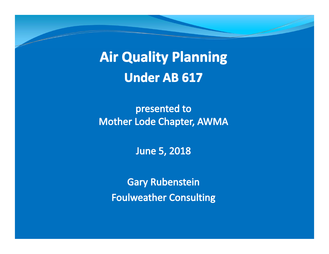**Air Quality Planning Under AB 617** 

presented to **Mother Lode Chapter, AWMA** 

**June 5, 2018** 

**Gary Rubenstein Foulweather Consulting**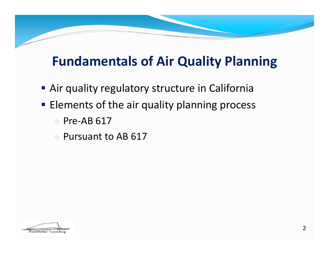# **Fundamentals of Air Quality Planning**

- **Air quality regulatory structure in California**
- **Elements of the air quality planning process** 
	- Pre-AB 617
	- Pursuant to AB 617

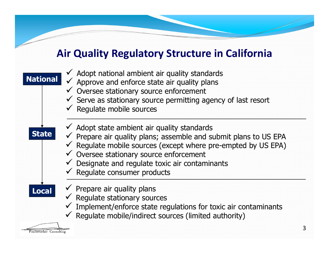#### **Air Quality Regulatory Structure in California**



3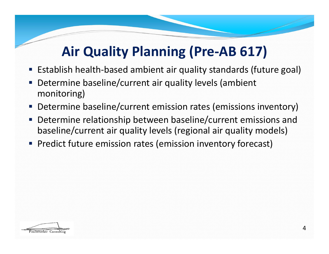# **Air Quality Planning (Pre‐AB 617)**

- Establish health-based ambient air quality standards (future goal)
- Determine baseline/current air quality levels (ambient monitoring)
- Determine baseline/current emission rates (emissions inventory)
- П Determine relationship between baseline/current emissions and baseline/current air quality levels (regional air quality models)
- **Predict future emission rates (emission inventory forecast)**

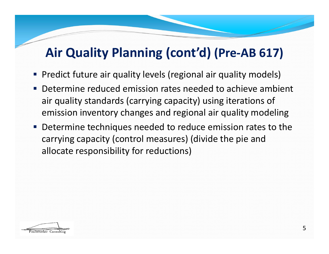# **Air Quality Planning (cont'd) (Pre‐AB 617)**

- Predict future air quality levels (regional air quality models)
- Determine reduced emission rates needed to achieve ambient air quality standards (carrying capacity) using iterations of emission inventory changes and regional air quality modeling
- Determine techniques needed to reduce emission rates to the carrying capacity (control measures) (divide the pie and allocate responsibility for reductions)

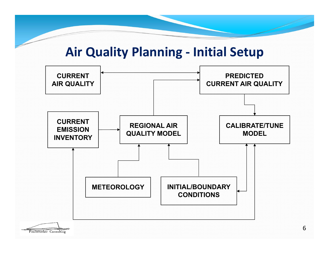### **Air Quality Planning ‐ Initial Setup**

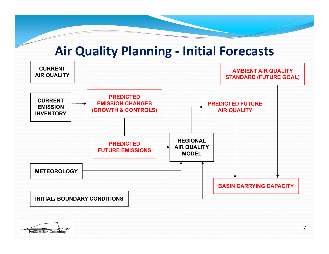### **Air Quality Planning ‐ Initial Forecasts**



Foulweather Consulting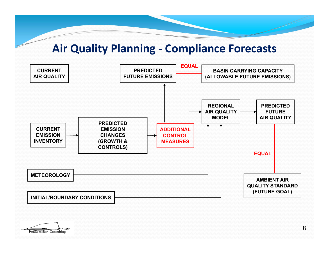#### **Air Quality Planning ‐ Compliance Forecasts**



Foulweather Consulting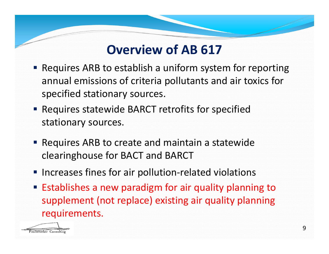# **Overview of AB 617**

- Requires ARB to establish a uniform system for reporting annual emissions of criteria pollutants and air toxics for specified stationary sources.
- Requires statewide BARCT retrofits for specified stationary sources.
- **Requires ARB to create and maintain a statewide** clearinghouse for BACT and BARCT
- Increases fines for air pollution-related violations
- **Establishes a new paradigm for air quality planning to** supplement (not replace) existing air quality planning requirements.

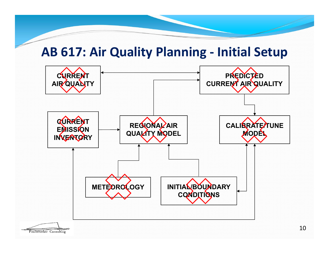### **AB 617: Air Quality Planning ‐ Initial Setup**

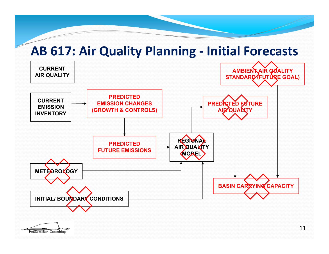### **AB 617: Air Quality Planning ‐ Initial Forecasts**



11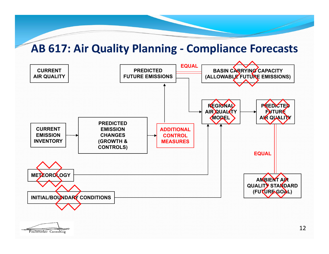#### **AB 617: Air Quality Planning ‐ Compliance Forecasts**

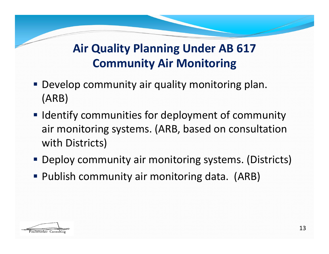# **Air Quality Planning Under AB 617 Community Air Monitoring**

- **Develop community air quality monitoring plan.** (ARB)
- **I** Identify communities for deployment of community air monitoring systems. (ARB, based on consultation with Districts)
- Deploy community air monitoring systems. (Districts)
- **Publish community air monitoring data. (ARB)**

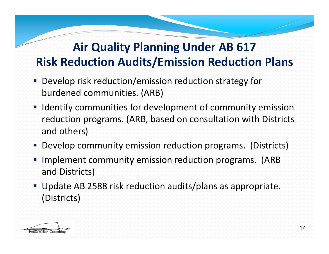## **Air Quality Planning Under AB 617 Risk Reduction Audits/Emission Reduction Plans**

- **Develop risk reduction/emission reduction strategy for** burdened communities. (ARB)
- **If Identify communities for development of community emission** reduction programs. (ARB, based on consultation with Districts and others)
- Develop community emission reduction programs. (Districts)
- Implement community emission reduction programs. (ARB and Districts)
- Update AB 2588 risk reduction audits/plans as appropriate. (Districts)

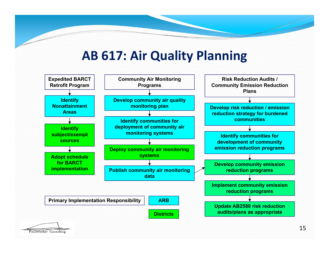## **AB 617: Air Quality Planning**



Foulweather Consulting